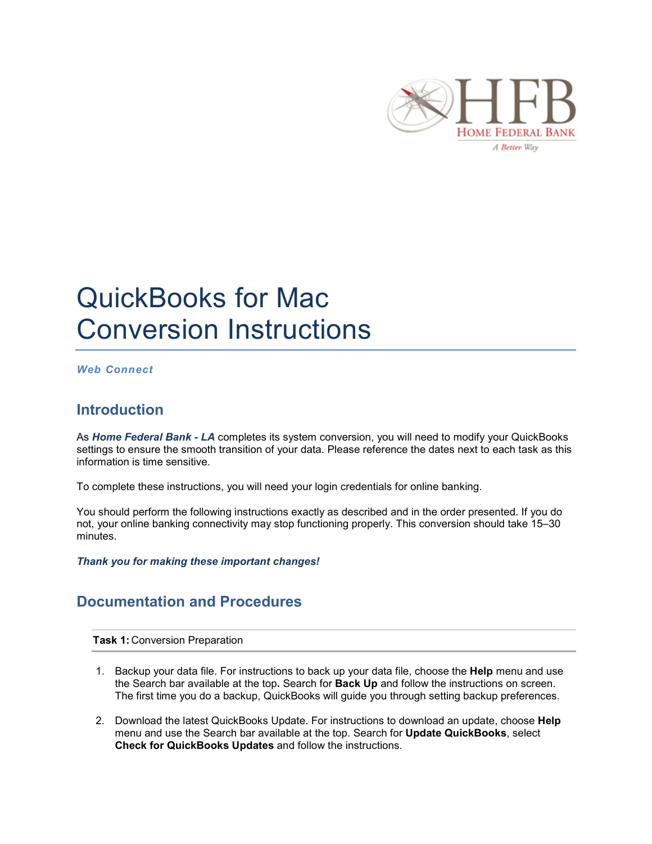

# QuickBooks for Mac Conversion Instructions

## *Web Connect*

## **Introduction**

As *Home Federal Bank - LA* completes its system conversion, you will need to modify your QuickBooks settings to ensure the smooth transition of your data. Please reference the dates next to each task as this information is time sensitive.

To complete these instructions, you will need your login credentials for online banking.

You should perform the following instructions exactly as described and in the order presented. If you do not, your online banking connectivity may stop functioning properly. This conversion should take 15–30 minutes.

*Thank you for making these important changes!*

## **Documentation and Procedures**

**Task 1:** Conversion Preparation

- 1. Backup your data file. For instructions to back up your data file, choose the **Help** menu and use the Search bar available at the top**.** Search for **Back Up** and follow the instructions on screen. The first time you do a backup, QuickBooks will guide you through setting backup preferences.
- 2. Download the latest QuickBooks Update. For instructions to download an update, choose **Help** menu and use the Search bar available at the top. Search for **Update QuickBooks**, select **Check for QuickBooks Updates** and follow the instructions.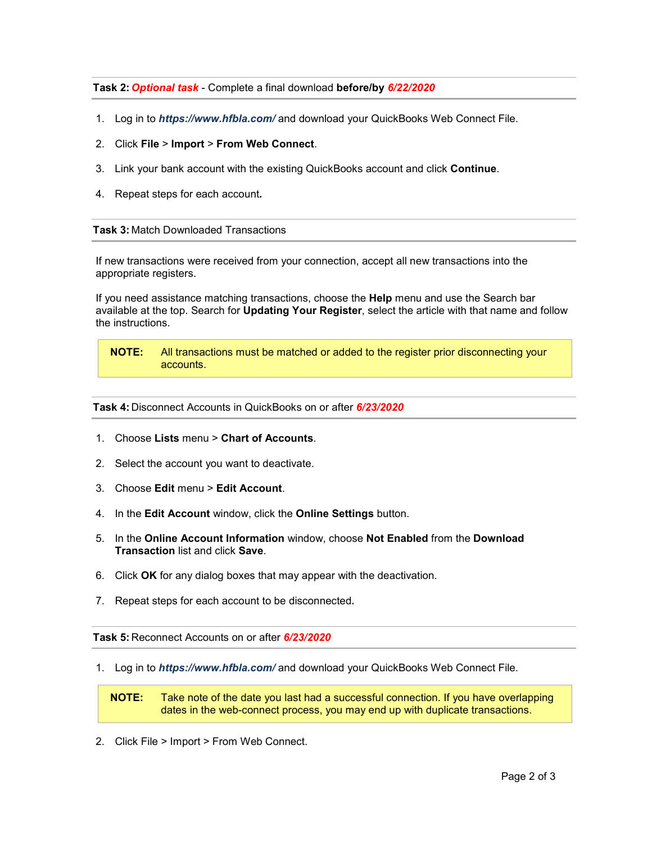## **Task 2:** *Optional task* - Complete a final download **before/by** *6/22/2020*

- 1. Log in to *https://www.hfbla.com/* and download your QuickBooks Web Connect File.
- 2. Click **File** > **Import** > **From Web Connect**.
- 3. Link your bank account with the existing QuickBooks account and click **Continue**.
- 4. Repeat steps for each account*.*

### **Task 3:** Match Downloaded Transactions

If new transactions were received from your connection, accept all new transactions into the appropriate registers.

If you need assistance matching transactions, choose the **Help** menu and use the Search bar available at the top. Search for **Updating Your Register**, select the article with that name and follow the instructions.

**NOTE:** All transactions must be matched or added to the register prior disconnecting your accounts.

#### **Task 4:** Disconnect Accounts in QuickBooks on or after *6/23/2020*

- 1. Choose **Lists** menu > **Chart of Accounts**.
- 2. Select the account you want to deactivate.
- 3. Choose **Edit** menu > **Edit Account**.
- 4. In the **Edit Account** window, click the **Online Settings** button.
- 5. In the **Online Account Information** window, choose **Not Enabled** from the **Download Transaction** list and click **Save**.
- 6. Click **OK** for any dialog boxes that may appear with the deactivation.
- 7. Repeat steps for each account to be disconnected*.*

**Task 5:** Reconnect Accounts on or after *6/23/2020*

1. Log in to *https://www.hfbla.com/* and download your QuickBooks Web Connect File.

**NOTE:** Take note of the date you last had a successful connection. If you have overlapping dates in the web-connect process, you may end up with duplicate transactions.

2. Click File > Import > From Web Connect.